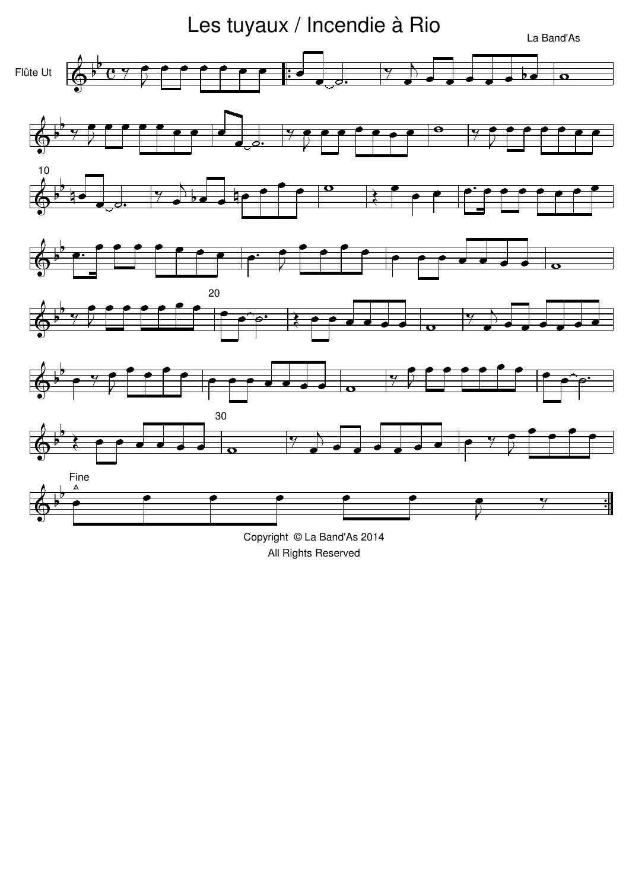

Copyright © La Band'As 2014 All Rights Reserved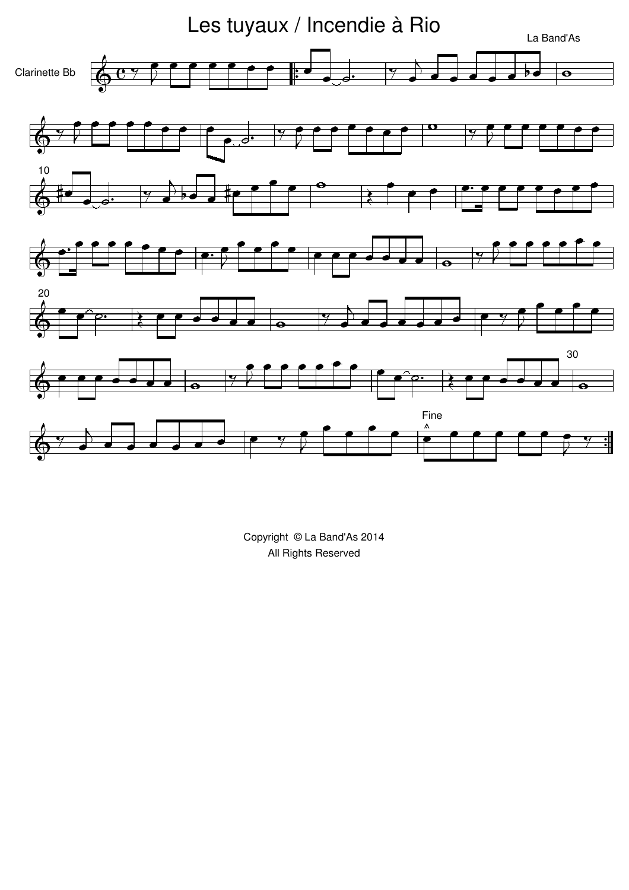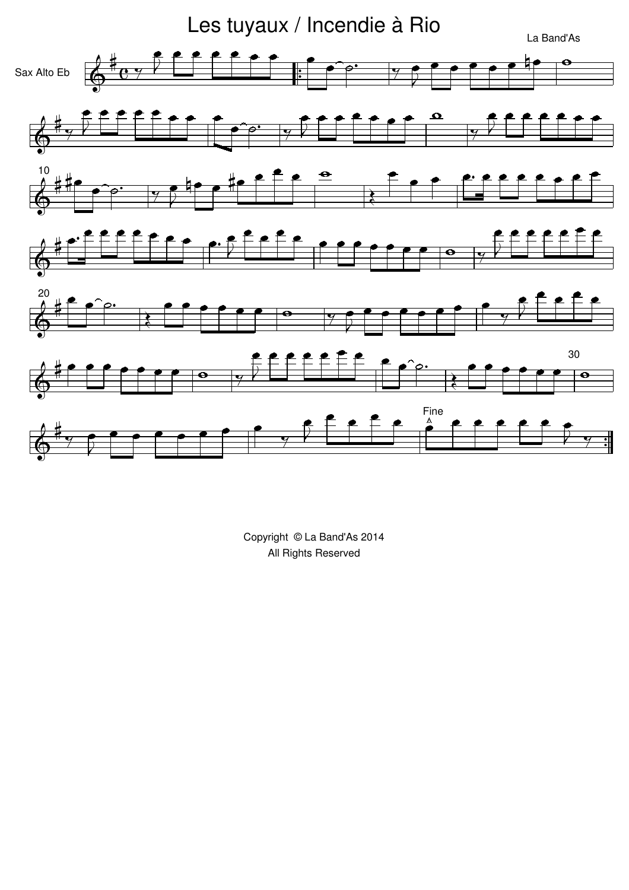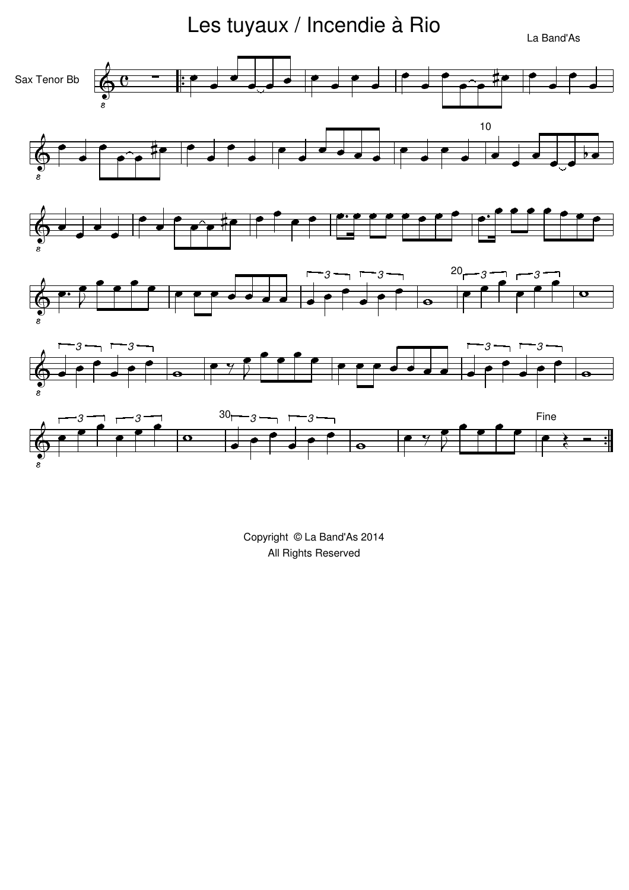Les tuyaux / Incendie à Rio

La Band'As

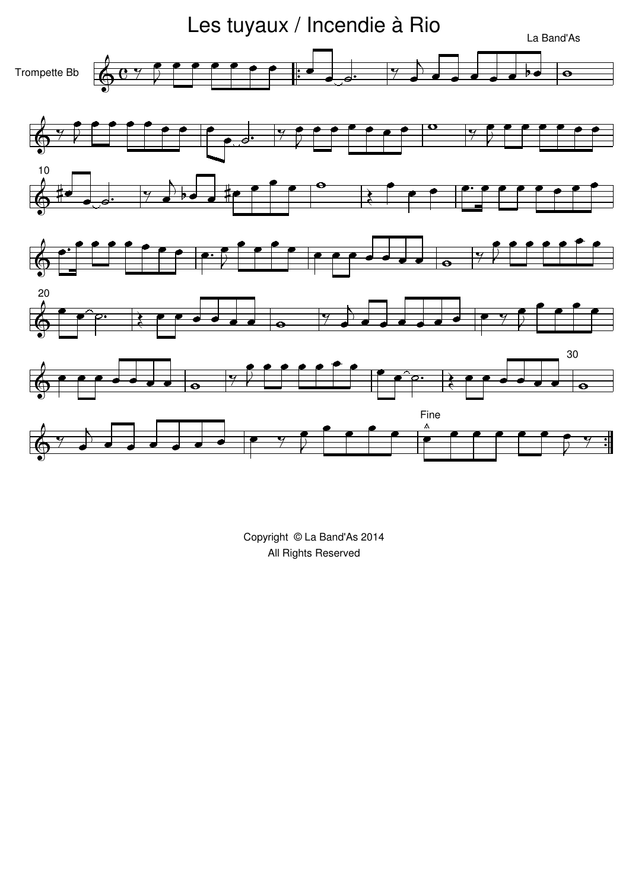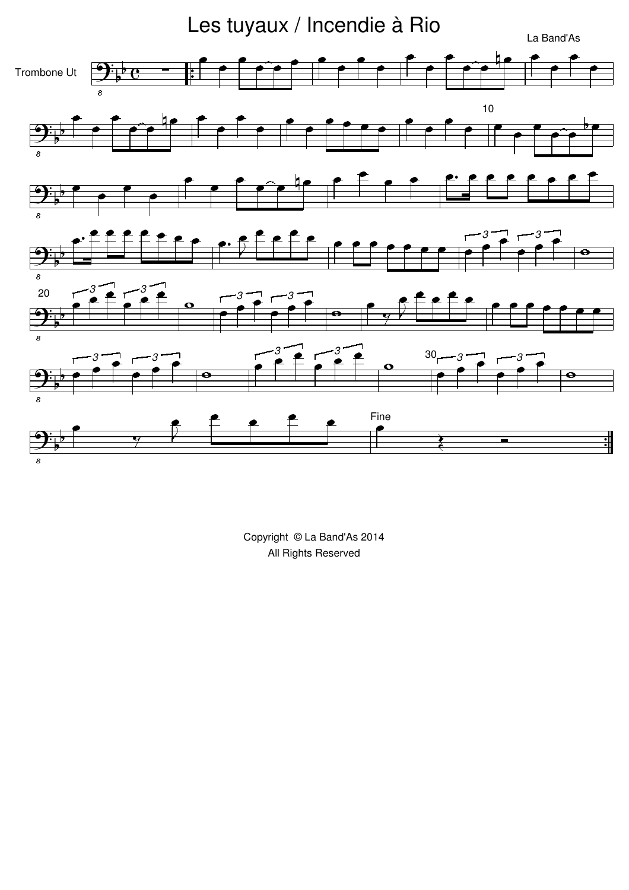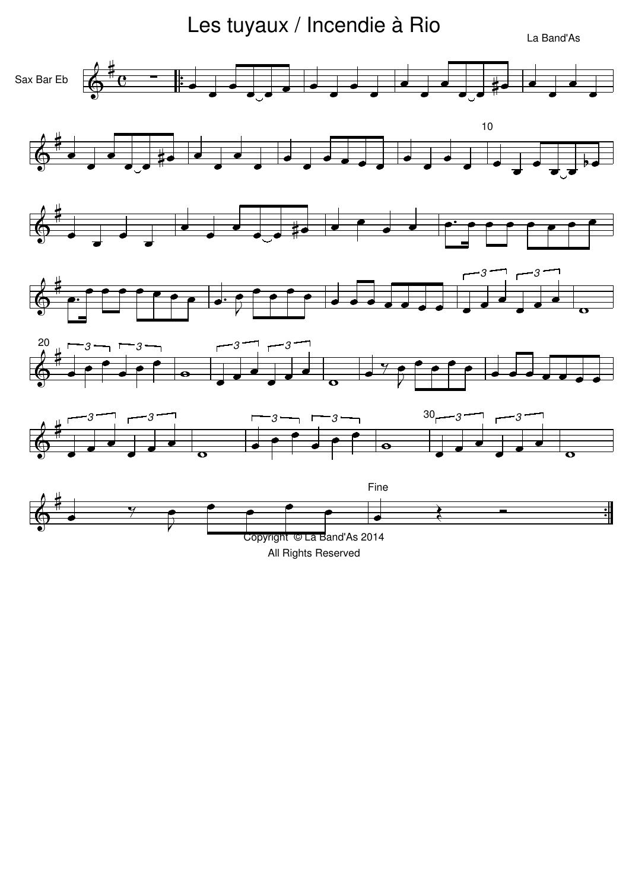Les tuyaux / Incendie à Rio

La Band'As